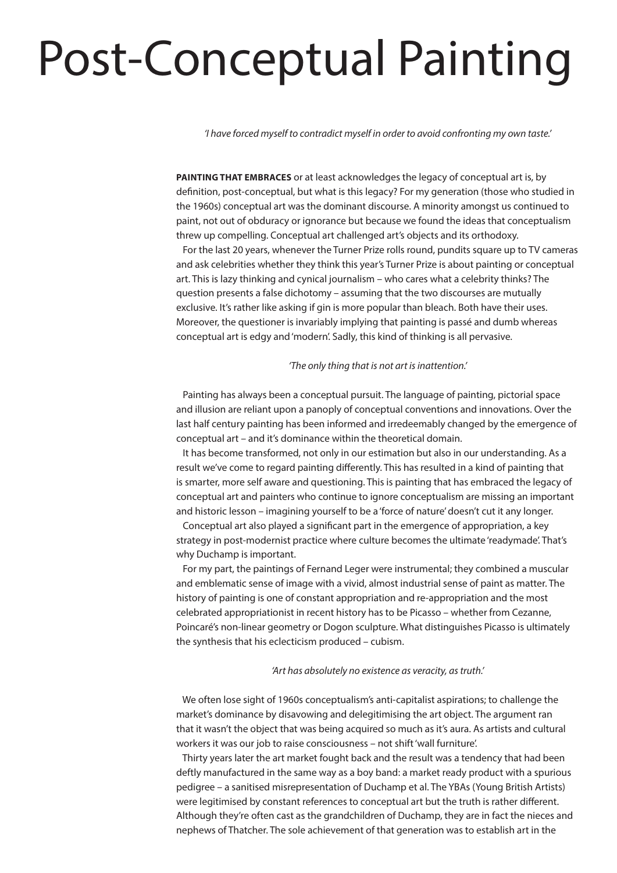# Post-Conceptual Painting

*'I have forced myself to contradict myself in order to avoid confronting my own taste.'*

**PAINTING THAT EMBRACES** or at least acknowledges the legacy of conceptual art is, by definition, post-conceptual, but what is this legacy? For my generation (those who studied in the 1960s) conceptual art was the dominant discourse. A minority amongst us continued to paint, not out of obduracy or ignorance but because we found the ideas that conceptualism threw up compelling. Conceptual art challenged art's objects and its orthodoxy.

 For the last 20 years, whenever the Turner Prize rolls round, pundits square up to TV cameras and ask celebrities whether they think this year's Turner Prize is about painting or conceptual art. This is lazy thinking and cynical journalism – who cares what a celebrity thinks? The question presents a false dichotomy – assuming that the two discourses are mutually exclusive. It's rather like asking if gin is more popular than bleach. Both have their uses. Moreover, the questioner is invariably implying that painting is passé and dumb whereas conceptual art is edgy and 'modern'. Sadly, this kind of thinking is all pervasive.

### *'The only thing that is not art is inattention.'*

 Painting has always been a conceptual pursuit. The language of painting, pictorial space and illusion are reliant upon a panoply of conceptual conventions and innovations. Over the last half century painting has been informed and irredeemably changed by the emergence of conceptual art – and it's dominance within the theoretical domain.

 It has become transformed, not only in our estimation but also in our understanding. As a result we've come to regard painting differently. This has resulted in a kind of painting that is smarter, more self aware and questioning. This is painting that has embraced the legacy of conceptual art and painters who continue to ignore conceptualism are missing an important and historic lesson – imagining yourself to be a 'force of nature' doesn't cut it any longer.

 Conceptual art also played a significant part in the emergence of appropriation, a key strategy in post-modernist practice where culture becomes the ultimate 'readymade'. That's why Duchamp is important.

 For my part, the paintings of Fernand Leger were instrumental; they combined a muscular and emblematic sense of image with a vivid, almost industrial sense of paint as matter. The history of painting is one of constant appropriation and re-appropriation and the most celebrated appropriationist in recent history has to be Picasso – whether from Cezanne, Poincaré's non-linear geometry or Dogon sculpture. What distinguishes Picasso is ultimately the synthesis that his eclecticism produced – cubism.

### *'Art has absolutely no existence as veracity, as truth.'*

 We often lose sight of 1960s conceptualism's anti-capitalist aspirations; to challenge the market's dominance by disavowing and delegitimising the art object. The argument ran that it wasn't the object that was being acquired so much as it's aura. As artists and cultural workers it was our job to raise consciousness – not shift 'wall furniture'.

 Thirty years later the art market fought back and the result was a tendency that had been deftly manufactured in the same way as a boy band: a market ready product with a spurious pedigree – a sanitised misrepresentation of Duchamp et al. The YBAs (Young British Artists) were legitimised by constant references to conceptual art but the truth is rather different. Although they're often cast as the grandchildren of Duchamp, they are in fact the nieces and nephews of Thatcher. The sole achievement of that generation was to establish art in the